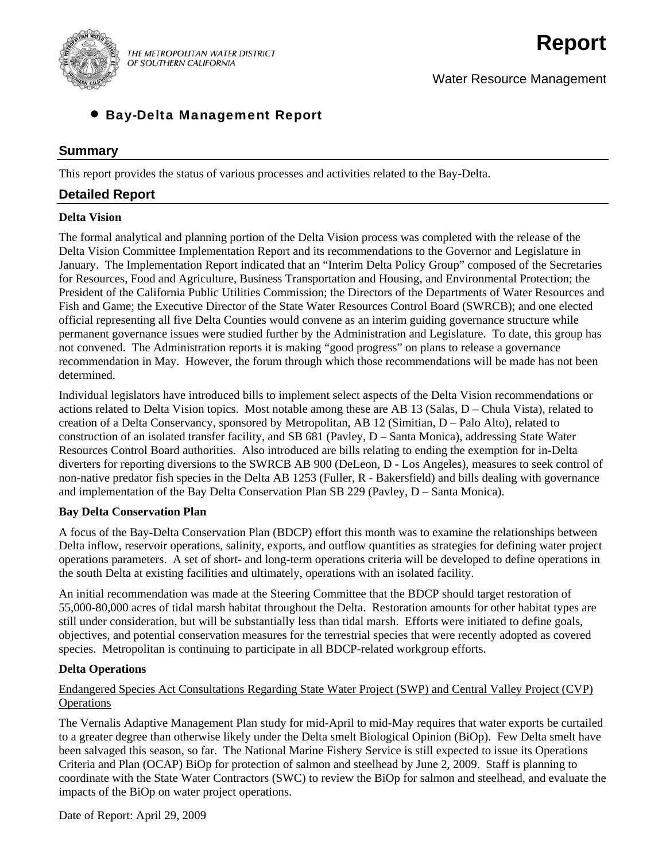

THE METROPOLITAN WATER DISTRICT OF SOUTHERN CALIFORNIA

Water Resource Management

# • Bay-Delta Management Report

# **Summary**

This report provides the status of various processes and activities related to the Bay-Delta.

## **Detailed Report**

#### **Delta Vision**

The formal analytical and planning portion of the Delta Vision process was completed with the release of the Delta Vision Committee Implementation Report and its recommendations to the Governor and Legislature in January. The Implementation Report indicated that an "Interim Delta Policy Group" composed of the Secretaries for Resources, Food and Agriculture, Business Transportation and Housing, and Environmental Protection; the President of the California Public Utilities Commission; the Directors of the Departments of Water Resources and Fish and Game; the Executive Director of the State Water Resources Control Board (SWRCB); and one elected official representing all five Delta Counties would convene as an interim guiding governance structure while permanent governance issues were studied further by the Administration and Legislature. To date, this group has not convened. The Administration reports it is making "good progress" on plans to release a governance recommendation in May. However, the forum through which those recommendations will be made has not been determined.

Individual legislators have introduced bills to implement select aspects of the Delta Vision recommendations or actions related to Delta Vision topics. Most notable among these are AB 13 (Salas, D – Chula Vista), related to creation of a Delta Conservancy, sponsored by Metropolitan, AB 12 (Simitian, D – Palo Alto), related to construction of an isolated transfer facility, and SB 681 (Pavley, D – Santa Monica), addressing State Water Resources Control Board authorities. Also introduced are bills relating to ending the exemption for in-Delta diverters for reporting diversions to the SWRCB AB 900 (DeLeon, D - Los Angeles), measures to seek control of non-native predator fish species in the Delta AB 1253 (Fuller, R - Bakersfield) and bills dealing with governance and implementation of the Bay Delta Conservation Plan SB 229 (Pavley, D – Santa Monica).

#### **Bay Delta Conservation Plan**

A focus of the Bay-Delta Conservation Plan (BDCP) effort this month was to examine the relationships between Delta inflow, reservoir operations, salinity, exports, and outflow quantities as strategies for defining water project operations parameters. A set of short- and long-term operations criteria will be developed to define operations in the south Delta at existing facilities and ultimately, operations with an isolated facility.

An initial recommendation was made at the Steering Committee that the BDCP should target restoration of 55,000-80,000 acres of tidal marsh habitat throughout the Delta. Restoration amounts for other habitat types are still under consideration, but will be substantially less than tidal marsh. Efforts were initiated to define goals, objectives, and potential conservation measures for the terrestrial species that were recently adopted as covered species. Metropolitan is continuing to participate in all BDCP-related workgroup efforts.

### **Delta Operations**

#### Endangered Species Act Consultations Regarding State Water Project (SWP) and Central Valley Project (CVP) **Operations**

The Vernalis Adaptive Management Plan study for mid-April to mid-May requires that water exports be curtailed to a greater degree than otherwise likely under the Delta smelt Biological Opinion (BiOp). Few Delta smelt have been salvaged this season, so far. The National Marine Fishery Service is still expected to issue its Operations Criteria and Plan (OCAP) BiOp for protection of salmon and steelhead by June 2, 2009. Staff is planning to coordinate with the State Water Contractors (SWC) to review the BiOp for salmon and steelhead, and evaluate the impacts of the BiOp on water project operations.